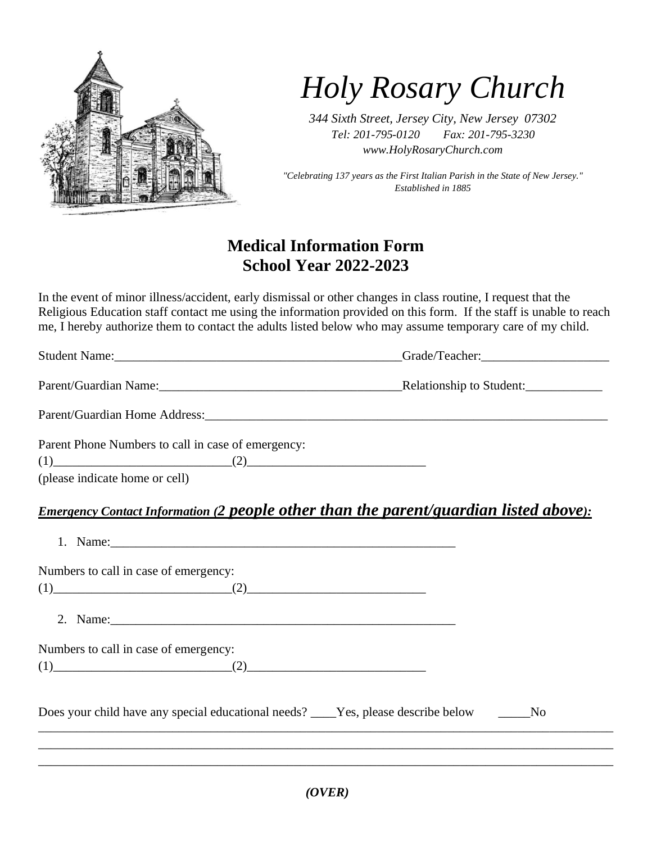

## *Holy Rosary Church*

*344 Sixth Street, Jersey City, New Jersey 07302 Tel: 201-795-0120 Fax: 201-795-3230 www.HolyRosaryChurch.com*

*"Celebrating 137 years as the First Italian Parish in the State of New Jersey." Established in 1885*

## **Medical Information Form School Year 2022-2023**

In the event of minor illness/accident, early dismissal or other changes in class routine, I request that the Religious Education staff contact me using the information provided on this form. If the staff is unable to reach me, I hereby authorize them to contact the adults listed below who may assume temporary care of my child.

| $Student_1$ | Teacher: |
|-------------|----------|
| Name:       | . frade. |
|             |          |

| Parent/Guardian Name:<br><b>Relationship to Student:</b> |  |
|----------------------------------------------------------|--|
|----------------------------------------------------------|--|

Parent/Guardian Home Address:\_\_\_\_\_\_\_\_\_\_\_\_\_\_\_\_\_\_\_\_\_\_\_\_\_\_\_\_\_\_\_\_\_\_\_\_\_\_\_\_\_\_\_\_\_\_\_\_\_\_\_\_\_\_\_\_\_\_\_\_\_\_\_

Parent Phone Numbers to call in case of emergency:

 $(1)$  (1)

(please indicate home or cell)

## *Emergency Contact Information (2 people other than the parent/guardian listed above):*

| Numbers to call in case of emergency:                                                      |  |
|--------------------------------------------------------------------------------------------|--|
| $(1)$ (1)                                                                                  |  |
|                                                                                            |  |
| Numbers to call in case of emergency:                                                      |  |
| $(1)$ (1)                                                                                  |  |
| Does your child have any special educational needs? ____Yes, please describe below _____No |  |
|                                                                                            |  |

\_\_\_\_\_\_\_\_\_\_\_\_\_\_\_\_\_\_\_\_\_\_\_\_\_\_\_\_\_\_\_\_\_\_\_\_\_\_\_\_\_\_\_\_\_\_\_\_\_\_\_\_\_\_\_\_\_\_\_\_\_\_\_\_\_\_\_\_\_\_\_\_\_\_\_\_\_\_\_\_\_\_\_\_\_\_\_\_\_\_